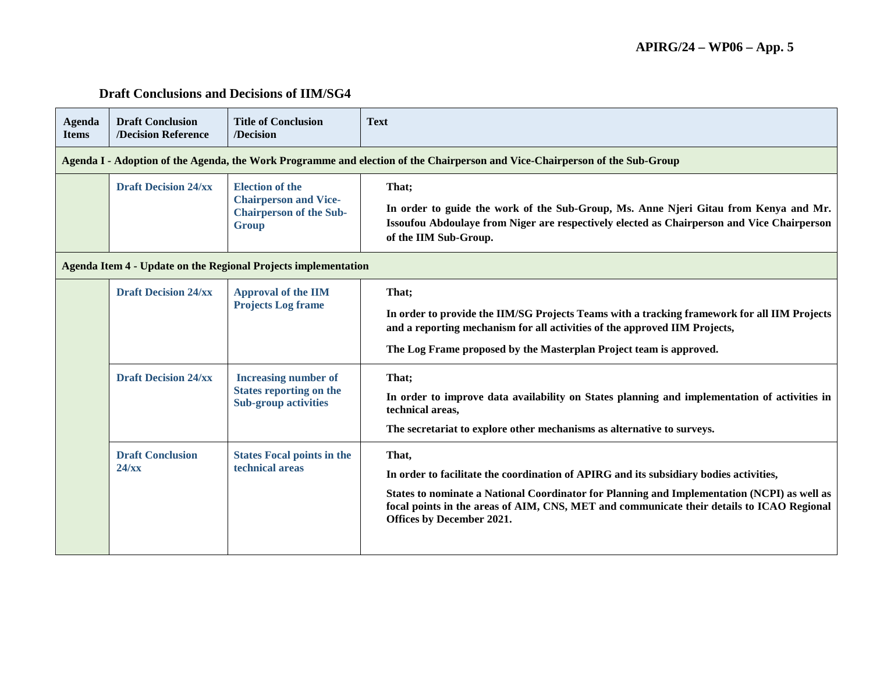## **Draft Conclusions and Decisions of IIM/SG4**

| <b>Agenda</b><br><b>Items</b>                                  | <b>Draft Conclusion</b><br>/Decision Reference                                                                              | <b>Title of Conclusion</b><br>/Decision                                                                  | <b>Text</b>                                                                                                                                                                                                                                                                                                              |  |
|----------------------------------------------------------------|-----------------------------------------------------------------------------------------------------------------------------|----------------------------------------------------------------------------------------------------------|--------------------------------------------------------------------------------------------------------------------------------------------------------------------------------------------------------------------------------------------------------------------------------------------------------------------------|--|
|                                                                | Agenda I - Adoption of the Agenda, the Work Programme and election of the Chairperson and Vice-Chairperson of the Sub-Group |                                                                                                          |                                                                                                                                                                                                                                                                                                                          |  |
|                                                                | <b>Draft Decision 24/xx</b>                                                                                                 | <b>Election of the</b><br><b>Chairperson and Vice-</b><br><b>Chairperson of the Sub-</b><br><b>Group</b> | That;<br>In order to guide the work of the Sub-Group, Ms. Anne Njeri Gitau from Kenya and Mr.<br>Issoufou Abdoulaye from Niger are respectively elected as Chairperson and Vice Chairperson<br>of the IIM Sub-Group.                                                                                                     |  |
| Agenda Item 4 - Update on the Regional Projects implementation |                                                                                                                             |                                                                                                          |                                                                                                                                                                                                                                                                                                                          |  |
|                                                                | <b>Draft Decision 24/xx</b>                                                                                                 | <b>Approval of the IIM</b><br><b>Projects Log frame</b>                                                  | That;<br>In order to provide the IIM/SG Projects Teams with a tracking framework for all IIM Projects<br>and a reporting mechanism for all activities of the approved IIM Projects,<br>The Log Frame proposed by the Masterplan Project team is approved.                                                                |  |
|                                                                | <b>Draft Decision 24/xx</b>                                                                                                 | <b>Increasing number of</b><br><b>States reporting on the</b><br><b>Sub-group activities</b>             | That;<br>In order to improve data availability on States planning and implementation of activities in<br>technical areas,<br>The secretariat to explore other mechanisms as alternative to surveys.                                                                                                                      |  |
|                                                                | <b>Draft Conclusion</b><br>$24$ /xx                                                                                         | <b>States Focal points in the</b><br>technical areas                                                     | That,<br>In order to facilitate the coordination of APIRG and its subsidiary bodies activities,<br>States to nominate a National Coordinator for Planning and Implementation (NCPI) as well as<br>focal points in the areas of AIM, CNS, MET and communicate their details to ICAO Regional<br>Offices by December 2021. |  |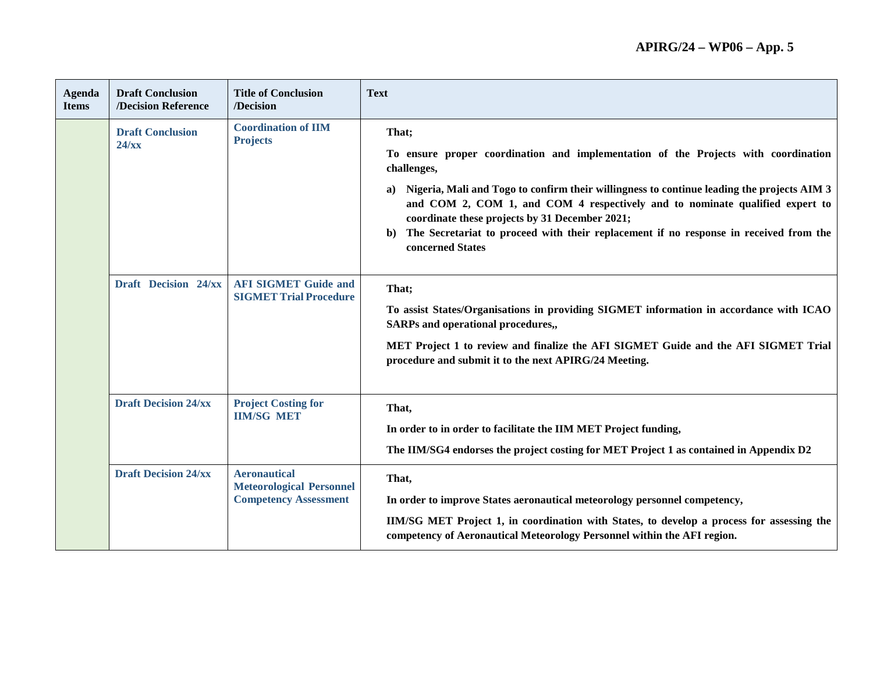| <b>Agenda</b><br><b>Items</b> | <b>Draft Conclusion</b><br>/Decision Reference                                       | <b>Title of Conclusion</b><br>/Decision                                                           | <b>Text</b>                                                                                                                                                                                                                        |
|-------------------------------|--------------------------------------------------------------------------------------|---------------------------------------------------------------------------------------------------|------------------------------------------------------------------------------------------------------------------------------------------------------------------------------------------------------------------------------------|
|                               | <b>Coordination of IIM</b><br><b>Draft Conclusion</b><br><b>Projects</b><br>$24$ /xx |                                                                                                   | That;                                                                                                                                                                                                                              |
|                               |                                                                                      | To ensure proper coordination and implementation of the Projects with coordination<br>challenges, |                                                                                                                                                                                                                                    |
|                               |                                                                                      |                                                                                                   | Nigeria, Mali and Togo to confirm their willingness to continue leading the projects AIM 3<br>a)<br>and COM 2, COM 1, and COM 4 respectively and to nominate qualified expert to<br>coordinate these projects by 31 December 2021; |
|                               |                                                                                      |                                                                                                   | The Secretariat to proceed with their replacement if no response in received from the<br>b)<br>concerned States                                                                                                                    |
|                               | Draft Decision 24/xx                                                                 | <b>AFI SIGMET Guide and</b><br><b>SIGMET Trial Procedure</b>                                      | That;                                                                                                                                                                                                                              |
|                               |                                                                                      |                                                                                                   | To assist States/Organisations in providing SIGMET information in accordance with ICAO<br><b>SARPs and operational procedures,,</b>                                                                                                |
|                               |                                                                                      |                                                                                                   | MET Project 1 to review and finalize the AFI SIGMET Guide and the AFI SIGMET Trial<br>procedure and submit it to the next APIRG/24 Meeting.                                                                                        |
|                               |                                                                                      |                                                                                                   |                                                                                                                                                                                                                                    |
|                               | <b>Draft Decision 24/xx</b>                                                          | <b>Project Costing for</b><br><b>IIM/SG MET</b>                                                   | That,                                                                                                                                                                                                                              |
|                               |                                                                                      |                                                                                                   | In order to in order to facilitate the IIM MET Project funding,                                                                                                                                                                    |
|                               |                                                                                      |                                                                                                   | The IIM/SG4 endorses the project costing for MET Project 1 as contained in Appendix D2                                                                                                                                             |
|                               | <b>Draft Decision 24/xx</b>                                                          | <b>Aeronautical</b><br><b>Meteorological Personnel</b><br><b>Competency Assessment</b>            | That,                                                                                                                                                                                                                              |
|                               |                                                                                      |                                                                                                   | In order to improve States aeronautical meteorology personnel competency,                                                                                                                                                          |
|                               |                                                                                      |                                                                                                   | IIM/SG MET Project 1, in coordination with States, to develop a process for assessing the<br>competency of Aeronautical Meteorology Personnel within the AFI region.                                                               |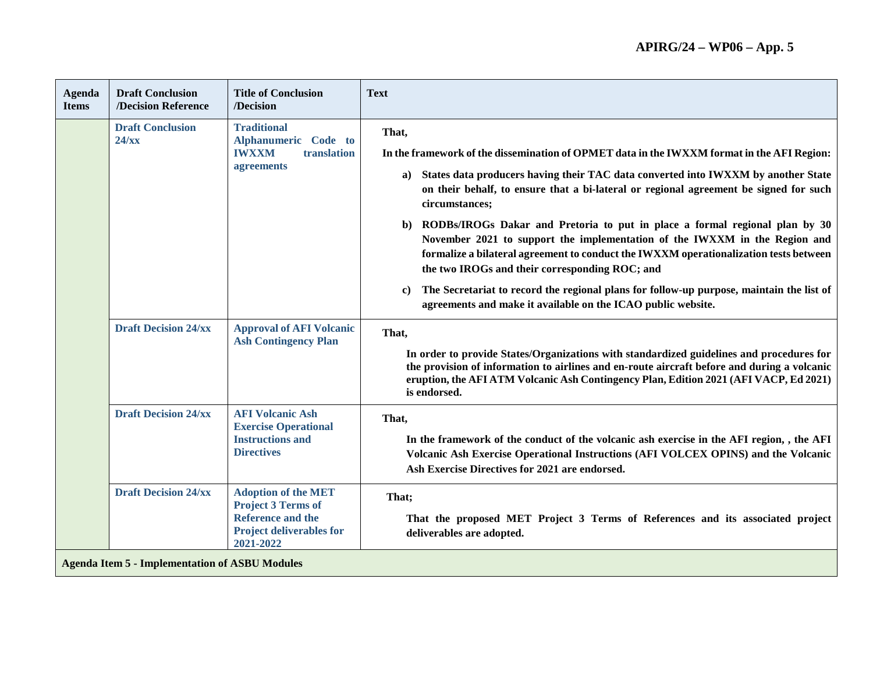## **APIRG/24 – WP06 – App. 5**

| <b>Agenda</b><br><b>Items</b> | <b>Draft Conclusion</b><br>/Decision Reference        | <b>Title of Conclusion</b><br>/Decision                                                                                             | <b>Text</b>                                                                                                                                                                                                                                                                                                                                                                                                                                                                                                                                                                                                                                                                                                                                                                                     |  |
|-------------------------------|-------------------------------------------------------|-------------------------------------------------------------------------------------------------------------------------------------|-------------------------------------------------------------------------------------------------------------------------------------------------------------------------------------------------------------------------------------------------------------------------------------------------------------------------------------------------------------------------------------------------------------------------------------------------------------------------------------------------------------------------------------------------------------------------------------------------------------------------------------------------------------------------------------------------------------------------------------------------------------------------------------------------|--|
|                               | <b>Draft Conclusion</b><br>$24$ /xx                   | <b>Traditional</b><br>Alphanumeric Code to<br>translation<br><b>IWXXM</b><br>agreements                                             | That,<br>In the framework of the dissemination of OPMET data in the IWXXM format in the AFI Region:<br>States data producers having their TAC data converted into IWXXM by another State<br>a)<br>on their behalf, to ensure that a bi-lateral or regional agreement be signed for such<br>circumstances;<br>RODBs/IROGs Dakar and Pretoria to put in place a formal regional plan by 30<br>b)<br>November 2021 to support the implementation of the IWXXM in the Region and<br>formalize a bilateral agreement to conduct the IWXXM operationalization tests between<br>the two IROGs and their corresponding ROC; and<br>The Secretariat to record the regional plans for follow-up purpose, maintain the list of<br>$\bf c)$<br>agreements and make it available on the ICAO public website. |  |
|                               | <b>Draft Decision 24/xx</b>                           | <b>Approval of AFI Volcanic</b><br><b>Ash Contingency Plan</b>                                                                      | That,<br>In order to provide States/Organizations with standardized guidelines and procedures for<br>the provision of information to airlines and en-route aircraft before and during a volcanic<br>eruption, the AFI ATM Volcanic Ash Contingency Plan, Edition 2021 (AFI VACP, Ed 2021)<br>is endorsed.                                                                                                                                                                                                                                                                                                                                                                                                                                                                                       |  |
|                               | <b>Draft Decision 24/xx</b>                           | <b>AFI Volcanic Ash</b><br><b>Exercise Operational</b><br><b>Instructions and</b><br><b>Directives</b>                              | That,<br>In the framework of the conduct of the volcanic ash exercise in the AFI region, , the AFI<br>Volcanic Ash Exercise Operational Instructions (AFI VOLCEX OPINS) and the Volcanic<br>Ash Exercise Directives for 2021 are endorsed.                                                                                                                                                                                                                                                                                                                                                                                                                                                                                                                                                      |  |
|                               | <b>Draft Decision 24/xx</b>                           | <b>Adoption of the MET</b><br><b>Project 3 Terms of</b><br><b>Reference and the</b><br><b>Project deliverables for</b><br>2021-2022 | That;<br>That the proposed MET Project 3 Terms of References and its associated project<br>deliverables are adopted.                                                                                                                                                                                                                                                                                                                                                                                                                                                                                                                                                                                                                                                                            |  |
|                               | <b>Agenda Item 5 - Implementation of ASBU Modules</b> |                                                                                                                                     |                                                                                                                                                                                                                                                                                                                                                                                                                                                                                                                                                                                                                                                                                                                                                                                                 |  |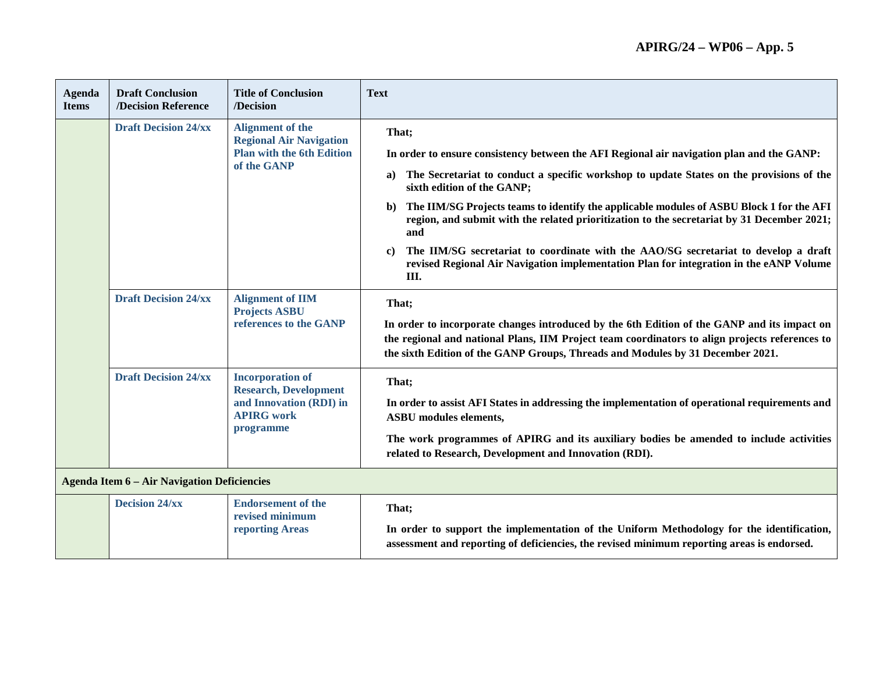| <b>Agenda</b><br><b>Items</b>                      | <b>Draft Conclusion</b><br>/Decision Reference | <b>Title of Conclusion</b><br>/Decision                                                                              | <b>Text</b>                                                                                                                                                                                                                                                                                                                                                                                                                                                                                                                                                                                                                                        |
|----------------------------------------------------|------------------------------------------------|----------------------------------------------------------------------------------------------------------------------|----------------------------------------------------------------------------------------------------------------------------------------------------------------------------------------------------------------------------------------------------------------------------------------------------------------------------------------------------------------------------------------------------------------------------------------------------------------------------------------------------------------------------------------------------------------------------------------------------------------------------------------------------|
|                                                    | <b>Draft Decision 24/xx</b>                    | <b>Alignment of the</b><br><b>Regional Air Navigation</b><br><b>Plan with the 6th Edition</b><br>of the GANP         | That;<br>In order to ensure consistency between the AFI Regional air navigation plan and the GANP:<br>The Secretariat to conduct a specific workshop to update States on the provisions of the<br>a)<br>sixth edition of the GANP;<br>The IIM/SG Projects teams to identify the applicable modules of ASBU Block 1 for the AFI<br>$\mathbf{b}$<br>region, and submit with the related prioritization to the secretariat by 31 December 2021;<br>and<br>The IIM/SG secretariat to coordinate with the AAO/SG secretariat to develop a draft<br>c)<br>revised Regional Air Navigation implementation Plan for integration in the eANP Volume<br>III. |
|                                                    | <b>Draft Decision 24/xx</b>                    | <b>Alignment of IIM</b><br><b>Projects ASBU</b><br>references to the GANP                                            | That;<br>In order to incorporate changes introduced by the 6th Edition of the GANP and its impact on<br>the regional and national Plans, IIM Project team coordinators to align projects references to<br>the sixth Edition of the GANP Groups, Threads and Modules by 31 December 2021.                                                                                                                                                                                                                                                                                                                                                           |
|                                                    | <b>Draft Decision 24/xx</b>                    | <b>Incorporation of</b><br><b>Research, Development</b><br>and Innovation (RDI) in<br><b>APIRG</b> work<br>programme | That;<br>In order to assist AFI States in addressing the implementation of operational requirements and<br><b>ASBU</b> modules elements,<br>The work programmes of APIRG and its auxiliary bodies be amended to include activities<br>related to Research, Development and Innovation (RDI).                                                                                                                                                                                                                                                                                                                                                       |
| <b>Agenda Item 6 – Air Navigation Deficiencies</b> |                                                |                                                                                                                      |                                                                                                                                                                                                                                                                                                                                                                                                                                                                                                                                                                                                                                                    |
|                                                    | <b>Decision 24/xx</b>                          | <b>Endorsement of the</b><br>revised minimum<br>reporting Areas                                                      | That;<br>In order to support the implementation of the Uniform Methodology for the identification,<br>assessment and reporting of deficiencies, the revised minimum reporting areas is endorsed.                                                                                                                                                                                                                                                                                                                                                                                                                                                   |